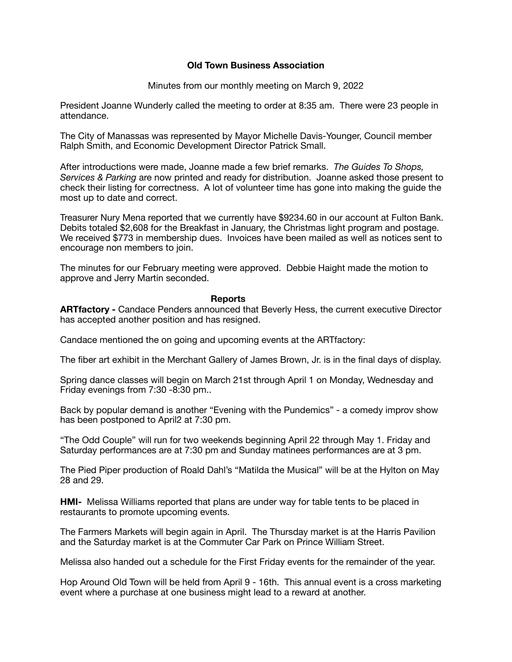## **Old Town Business Association**

Minutes from our monthly meeting on March 9, 2022

President Joanne Wunderly called the meeting to order at 8:35 am. There were 23 people in attendance.

The City of Manassas was represented by Mayor Michelle Davis-Younger, Council member Ralph Smith, and Economic Development Director Patrick Small.

After introductions were made, Joanne made a few brief remarks. *The Guides To Shops, Services & Parking* are now printed and ready for distribution. Joanne asked those present to check their listing for correctness. A lot of volunteer time has gone into making the guide the most up to date and correct.

Treasurer Nury Mena reported that we currently have \$9234.60 in our account at Fulton Bank. Debits totaled \$2,608 for the Breakfast in January, the Christmas light program and postage. We received \$773 in membership dues. Invoices have been mailed as well as notices sent to encourage non members to join.

The minutes for our February meeting were approved. Debbie Haight made the motion to approve and Jerry Martin seconded.

## **Reports**

**ARTfactory -** Candace Penders announced that Beverly Hess, the current executive Director has accepted another position and has resigned.

Candace mentioned the on going and upcoming events at the ARTfactory:

The fiber art exhibit in the Merchant Gallery of James Brown, Jr. is in the final days of display.

Spring dance classes will begin on March 21st through April 1 on Monday, Wednesday and Friday evenings from 7:30 -8:30 pm..

Back by popular demand is another "Evening with the Pundemics" - a comedy improv show has been postponed to April2 at 7:30 pm.

"The Odd Couple" will run for two weekends beginning April 22 through May 1. Friday and Saturday performances are at 7:30 pm and Sunday matinees performances are at 3 pm.

The Pied Piper production of Roald Dahl's "Matilda the Musical" will be at the Hylton on May 28 and 29.

**HMI-** Melissa Williams reported that plans are under way for table tents to be placed in restaurants to promote upcoming events.

The Farmers Markets will begin again in April. The Thursday market is at the Harris Pavilion and the Saturday market is at the Commuter Car Park on Prince William Street.

Melissa also handed out a schedule for the First Friday events for the remainder of the year.

Hop Around Old Town will be held from April 9 - 16th. This annual event is a cross marketing event where a purchase at one business might lead to a reward at another.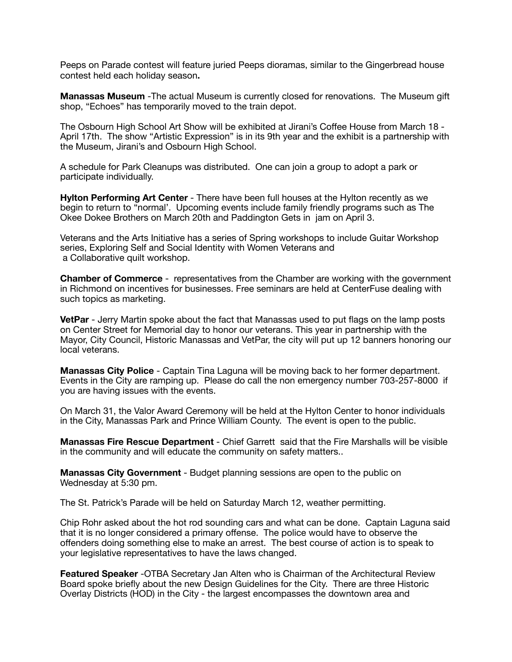Peeps on Parade contest will feature juried Peeps dioramas, similar to the Gingerbread house contest held each holiday season**.** 

**Manassas Museum** -The actual Museum is currently closed for renovations. The Museum gift shop, "Echoes" has temporarily moved to the train depot.

The Osbourn High School Art Show will be exhibited at Jirani's Coffee House from March 18 - April 17th. The show "Artistic Expression" is in its 9th year and the exhibit is a partnership with the Museum, Jirani's and Osbourn High School.

A schedule for Park Cleanups was distributed. One can join a group to adopt a park or participate individually.

**Hylton Performing Art Center** - There have been full houses at the Hylton recently as we begin to return to "normal'. Upcoming events include family friendly programs such as The Okee Dokee Brothers on March 20th and Paddington Gets in jam on April 3.

Veterans and the Arts Initiative has a series of Spring workshops to include Guitar Workshop series, Exploring Self and Social Identity with Women Veterans and a Collaborative quilt workshop.

**Chamber of Commerce** - representatives from the Chamber are working with the government in Richmond on incentives for businesses. Free seminars are held at CenterFuse dealing with such topics as marketing.

**VetPar** - Jerry Martin spoke about the fact that Manassas used to put flags on the lamp posts on Center Street for Memorial day to honor our veterans. This year in partnership with the Mayor, City Council, Historic Manassas and VetPar, the city will put up 12 banners honoring our local veterans.

**Manassas City Police** - Captain Tina Laguna will be moving back to her former department. Events in the City are ramping up. Please do call the non emergency number 703-257-8000 if you are having issues with the events.

On March 31, the Valor Award Ceremony will be held at the Hylton Center to honor individuals in the City, Manassas Park and Prince William County. The event is open to the public.

**Manassas Fire Rescue Department** - Chief Garrett said that the Fire Marshalls will be visible in the community and will educate the community on safety matters..

**Manassas City Government** - Budget planning sessions are open to the public on Wednesday at 5:30 pm.

The St. Patrick's Parade will be held on Saturday March 12, weather permitting.

Chip Rohr asked about the hot rod sounding cars and what can be done. Captain Laguna said that it is no longer considered a primary offense. The police would have to observe the offenders doing something else to make an arrest. The best course of action is to speak to your legislative representatives to have the laws changed.

**Featured Speaker** -OTBA Secretary Jan Alten who is Chairman of the Architectural Review Board spoke briefly about the new Design Guidelines for the City. There are three Historic Overlay Districts (HOD) in the City - the largest encompasses the downtown area and